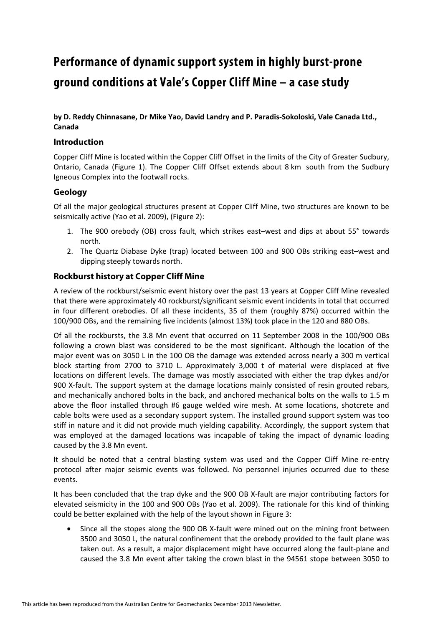# **Performance of dynamic support system in highly burst-prone ground conditions at Vale's Copper Cliff Mine – a case study**

**by D. Reddy Chinnasane, Dr Mike Yao, David Landry and P. Paradis-Sokoloski, Vale Canada Ltd., Canada** 

# **Introduction**

Copper Cliff Mine is located within the Copper Cliff Offset in the limits of the City of Greater Sudbury, Ontario, Canada (Figure 1). The Copper Cliff Offset extends about 8 km south from the Sudbury Igneous Complex into the footwall rocks.

# **Geology**

Of all the major geological structures present at Copper Cliff Mine, two structures are known to be seismically active (Yao et al. 2009), (Figure 2):

- 1. The 900 orebody (OB) cross fault, which strikes east–west and dips at about 55° towards north.
- 2. The Quartz Diabase Dyke (trap) located between 100 and 900 OBs striking east–west and dipping steeply towards north.

# **Rockburst history at Copper Cliff Mine**

A review of the rockburst/seismic event history over the past 13 years at Copper Cliff Mine revealed that there were approximately 40 rockburst/significant seismic event incidents in total that occurred in four different orebodies. Of all these incidents, 35 of them (roughly 87%) occurred within the 100/900 OBs, and the remaining five incidents (almost 13%) took place in the 120 and 880 OBs.

Of all the rockbursts, the 3.8 Mn event that occurred on 11 September 2008 in the 100/900 OBs following a crown blast was considered to be the most significant. Although the location of the major event was on 3050 L in the 100 OB the damage was extended across nearly a 300 m vertical block starting from 2700 to 3710 L. Approximately 3,000 t of material were displaced at five locations on different levels. The damage was mostly associated with either the trap dykes and/or 900 X-fault. The support system at the damage locations mainly consisted of resin grouted rebars, and mechanically anchored bolts in the back, and anchored mechanical bolts on the walls to 1.5 m above the floor installed through #6 gauge welded wire mesh. At some locations, shotcrete and cable bolts were used as a secondary support system. The installed ground support system was too stiff in nature and it did not provide much yielding capability. Accordingly, the support system that was employed at the damaged locations was incapable of taking the impact of dynamic loading caused by the 3.8 Mn event.

It should be noted that a central blasting system was used and the Copper Cliff Mine re-entry protocol after major seismic events was followed. No personnel injuries occurred due to these events.

It has been concluded that the trap dyke and the 900 OB X-fault are major contributing factors for elevated seismicity in the 100 and 900 OBs (Yao et al. 2009). The rationale for this kind of thinking could be better explained with the help of the layout shown in Figure 3:

• Since all the stopes along the 900 OB X-fault were mined out on the mining front between 3500 and 3050 L, the natural confinement that the orebody provided to the fault plane was taken out. As a result, a major displacement might have occurred along the fault-plane and caused the 3.8 Mn event after taking the crown blast in the 94561 stope between 3050 to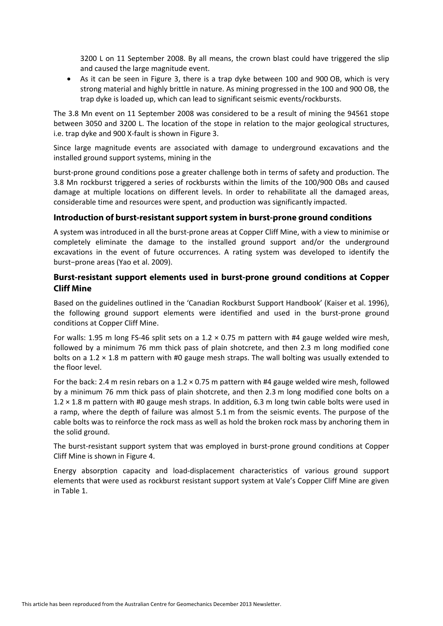3200 L on 11 September 2008. By all means, the crown blast could have triggered the slip and caused the large magnitude event.

• As it can be seen in Figure 3, there is a trap dyke between 100 and 900 OB, which is very strong material and highly brittle in nature. As mining progressed in the 100 and 900 OB, the trap dyke is loaded up, which can lead to significant seismic events/rockbursts.

The 3.8 Mn event on 11 September 2008 was considered to be a result of mining the 94561 stope between 3050 and 3200 L. The location of the stope in relation to the major geological structures, i.e. trap dyke and 900 X-fault is shown in Figure 3.

Since large magnitude events are associated with damage to underground excavations and the installed ground support systems, mining in the

burst-prone ground conditions pose a greater challenge both in terms of safety and production. The 3.8 Mn rockburst triggered a series of rockbursts within the limits of the 100/900 OBs and caused damage at multiple locations on different levels. In order to rehabilitate all the damaged areas, considerable time and resources were spent, and production was significantly impacted.

#### **Introduction of burst-resistant support system in burst-prone ground conditions**

A system was introduced in all the burst-prone areas at Copper Cliff Mine, with a view to minimise or completely eliminate the damage to the installed ground support and/or the underground excavations in the event of future occurrences. A rating system was developed to identify the burst−prone areas (Yao et al. 2009).

# **Burst-resistant support elements used in burst-prone ground conditions at Copper Cliff Mine**

Based on the guidelines outlined in the 'Canadian Rockburst Support Handbook' (Kaiser et al. 1996), the following ground support elements were identified and used in the burst-prone ground conditions at Copper Cliff Mine.

For walls: 1.95 m long FS-46 split sets on a 1.2  $\times$  0.75 m pattern with #4 gauge welded wire mesh, followed by a minimum 76 mm thick pass of plain shotcrete, and then 2.3 m long modified cone bolts on a 1.2  $\times$  1.8 m pattern with #0 gauge mesh straps. The wall bolting was usually extended to the floor level.

For the back: 2.4 m resin rebars on a 1.2 × 0.75 m pattern with #4 gauge welded wire mesh, followed by a minimum 76 mm thick pass of plain shotcrete, and then 2.3 m long modified cone bolts on a 1.2  $\times$  1.8 m pattern with #0 gauge mesh straps. In addition, 6.3 m long twin cable bolts were used in a ramp, where the depth of failure was almost 5.1 m from the seismic events. The purpose of the cable bolts was to reinforce the rock mass as well as hold the broken rock mass by anchoring them in the solid ground.

The burst-resistant support system that was employed in burst-prone ground conditions at Copper Cliff Mine is shown in Figure 4.

Energy absorption capacity and load-displacement characteristics of various ground support elements that were used as rockburst resistant support system at Vale's Copper Cliff Mine are given in Table 1.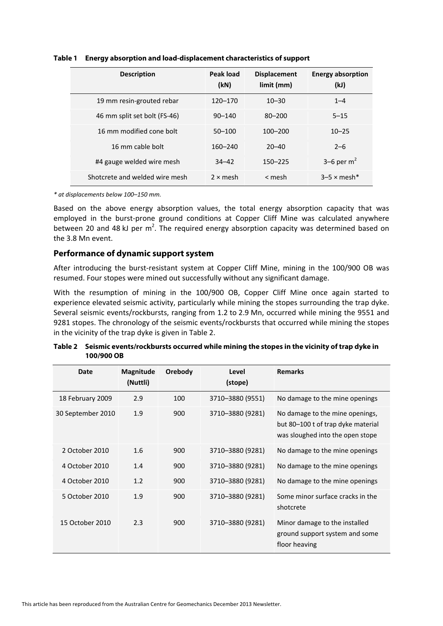| <b>Description</b>             | Peak load<br>(kN) | <b>Displacement</b><br>$limit$ (mm) | <b>Energy absorption</b><br>(kJ) |
|--------------------------------|-------------------|-------------------------------------|----------------------------------|
| 19 mm resin-grouted rebar      | 120–170           | $10 - 30$                           | $1 - 4$                          |
| 46 mm split set bolt (FS-46)   | $90 - 140$        | $80 - 200$                          | $5 - 15$                         |
| 16 mm modified cone bolt       | $50 - 100$        | $100 - 200$                         | $10 - 25$                        |
| 16 mm cable bolt               | $160 - 240$       | $20 - 40$                           | $2 - 6$                          |
| #4 gauge welded wire mesh      | $34 - 42$         | $150 - 225$                         | 3–6 per $m2$                     |
| Shotcrete and welded wire mesh | $2 \times$ mesh   | < mesh                              | $3-5 \times$ mesh*               |

**Table 1 Energy absorption and load-displacement characteristics of support** 

*\* at displacements below 100–150 mm.*

Based on the above energy absorption values, the total energy absorption capacity that was employed in the burst-prone ground conditions at Copper Cliff Mine was calculated anywhere between 20 and 48 kJ per  $m^2$ . The required energy absorption capacity was determined based on the 3.8 Mn event.

#### **Performance of dynamic support system**

After introducing the burst-resistant system at Copper Cliff Mine, mining in the 100/900 OB was resumed. Four stopes were mined out successfully without any significant damage.

With the resumption of mining in the 100/900 OB, Copper Cliff Mine once again started to experience elevated seismic activity, particularly while mining the stopes surrounding the trap dyke. Several seismic events/rockbursts, ranging from 1.2 to 2.9 Mn, occurred while mining the 9551 and 9281 stopes. The chronology of the seismic events/rockbursts that occurred while mining the stopes in the vicinity of the trap dyke is given in Table 2.

| Date              | Magnitude<br>(Nuttli) | Orebody | Level<br>(stope) | <b>Remarks</b>                                                                                            |
|-------------------|-----------------------|---------|------------------|-----------------------------------------------------------------------------------------------------------|
| 18 February 2009  | 2.9                   | 100     | 3710-3880 (9551) | No damage to the mine openings                                                                            |
| 30 September 2010 | 1.9                   | 900     | 3710-3880 (9281) | No damage to the mine openings,<br>but 80–100 t of trap dyke material<br>was sloughed into the open stope |
| 2 October 2010    | 1.6                   | 900     | 3710-3880 (9281) | No damage to the mine openings                                                                            |
| 4 October 2010    | 1.4                   | 900     | 3710-3880 (9281) | No damage to the mine openings                                                                            |
| 4 October 2010    | 1.2                   | 900     | 3710-3880 (9281) | No damage to the mine openings                                                                            |
| 5 October 2010    | 1.9                   | 900     | 3710-3880 (9281) | Some minor surface cracks in the<br>shotcrete                                                             |
| 15 October 2010   | 2.3                   | 900     | 3710-3880 (9281) | Minor damage to the installed<br>ground support system and some<br>floor heaving                          |

**Table 2 Seismic events/rockbursts occurred while mining the stopes in the vicinity of trap dyke in 100/900 OB**